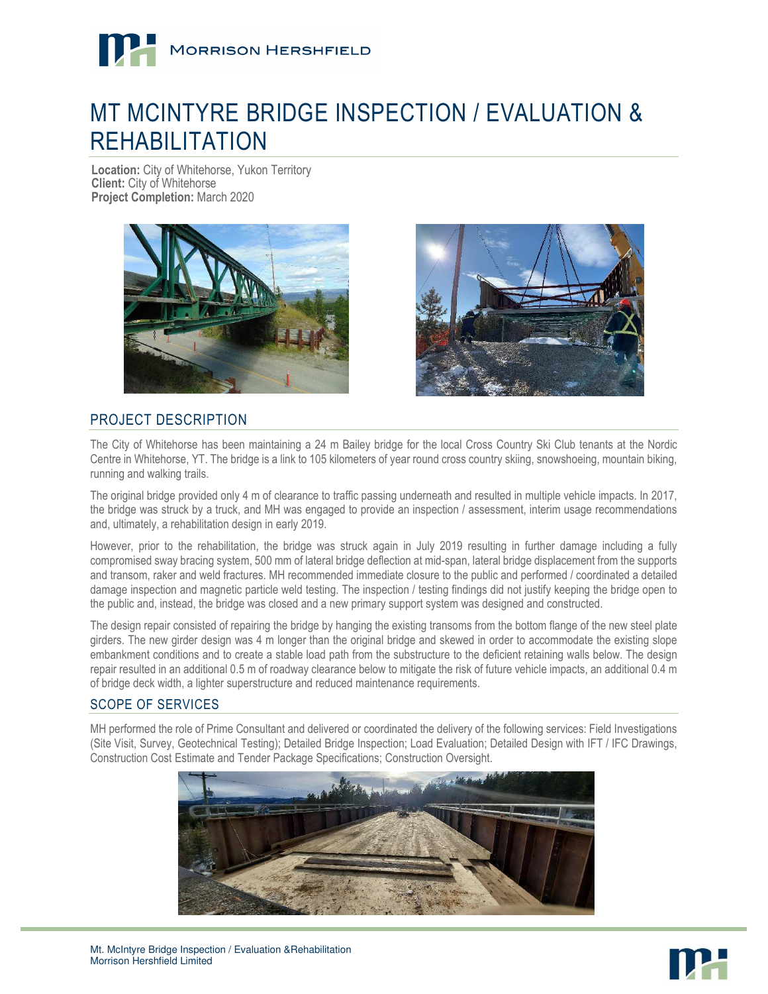

# MT MCINTYRE BRIDGE INSPECTION / EVALUATION & REHABILITATION

**Location:** City of Whitehorse, Yukon Territory **Client:** City of Whitehorse **Project Completion:** March 2020





## PROJECT DESCRIPTION

The City of Whitehorse has been maintaining a 24 m Bailey bridge for the local Cross Country Ski Club tenants at the Nordic Centre in Whitehorse, YT. The bridge is a link to 105 kilometers of year round cross country skiing, snowshoeing, mountain biking, running and walking trails.

The original bridge provided only 4 m of clearance to traffic passing underneath and resulted in multiple vehicle impacts. In 2017, the bridge was struck by a truck, and MH was engaged to provide an inspection / assessment, interim usage recommendations and, ultimately, a rehabilitation design in early 2019.

However, prior to the rehabilitation, the bridge was struck again in July 2019 resulting in further damage including a fully compromised sway bracing system, 500 mm of lateral bridge deflection at mid-span, lateral bridge displacement from the supports and transom, raker and weld fractures. MH recommended immediate closure to the public and performed / coordinated a detailed damage inspection and magnetic particle weld testing. The inspection / testing findings did not justify keeping the bridge open to the public and, instead, the bridge was closed and a new primary support system was designed and constructed.

The design repair consisted of repairing the bridge by hanging the existing transoms from the bottom flange of the new steel plate girders. The new girder design was 4 m longer than the original bridge and skewed in order to accommodate the existing slope embankment conditions and to create a stable load path from the substructure to the deficient retaining walls below. The design repair resulted in an additional 0.5 m of roadway clearance below to mitigate the risk of future vehicle impacts, an additional 0.4 m of bridge deck width, a lighter superstructure and reduced maintenance requirements.

#### SCOPE OF SERVICES

MH performed the role of Prime Consultant and delivered or coordinated the delivery of the following services: Field Investigations (Site Visit, Survey, Geotechnical Testing); Detailed Bridge Inspection; Load Evaluation; Detailed Design with IFT / IFC Drawings, Construction Cost Estimate and Tender Package Specifications; Construction Oversight.